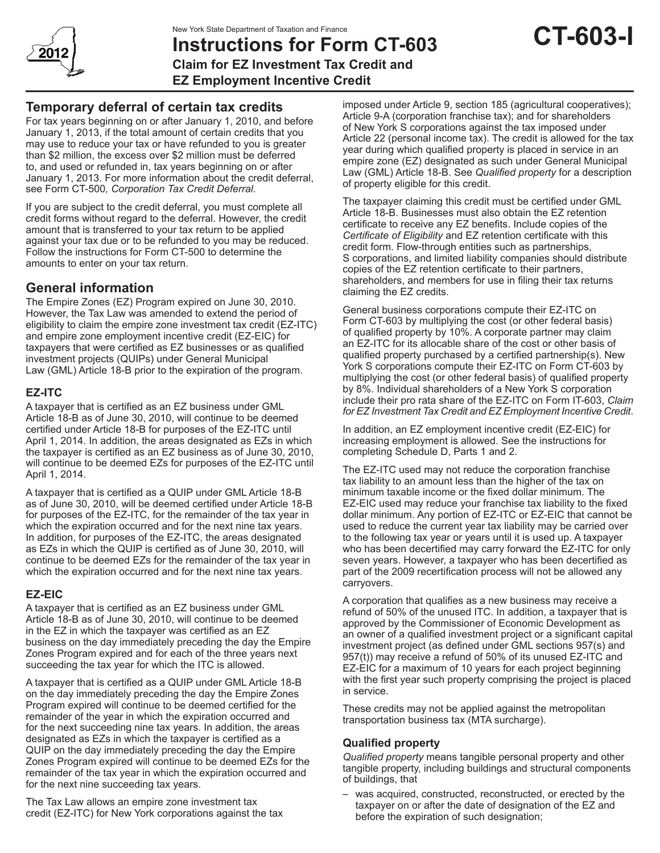

# **Instructions for Form CT-603 Claim for EZ Investment Tax Credit and**

**EZ Employment Incentive Credit**

# **Temporary deferral of certain tax credits**

For tax years beginning on or after January 1, 2010, and before January 1, 2013, if the total amount of certain credits that you may use to reduce your tax or have refunded to you is greater than \$2 million, the excess over \$2 million must be deferred to, and used or refunded in, tax years beginning on or after January 1, 2013. For more information about the credit deferral, see Form CT-500*, Corporation Tax Credit Deferral*.

If you are subject to the credit deferral, you must complete all credit forms without regard to the deferral. However, the credit amount that is transferred to your tax return to be applied against your tax due or to be refunded to you may be reduced. Follow the instructions for Form CT-500 to determine the amounts to enter on your tax return.

# **General information**

The Empire Zones (EZ) Program expired on June 30, 2010. However, the Tax Law was amended to extend the period of eligibility to claim the empire zone investment tax credit (EZ-ITC) and empire zone employment incentive credit (EZ-EIC) for taxpayers that were certified as EZ businesses or as qualified investment projects (QUIPs) under General Municipal Law (GML) Article 18-B prior to the expiration of the program.

## **EZ-ITC**

A taxpayer that is certified as an EZ business under GML Article 18-B as of June 30, 2010, will continue to be deemed certified under Article 18-B for purposes of the EZ-ITC until April 1, 2014. In addition, the areas designated as EZs in which the taxpayer is certified as an EZ business as of June 30, 2010, will continue to be deemed EZs for purposes of the EZ-ITC until April 1, 2014.

A taxpayer that is certified as a QUIP under GML Article 18-B as of June 30, 2010, will be deemed certified under Article 18-B for purposes of the EZ-ITC, for the remainder of the tax year in which the expiration occurred and for the next nine tax years. In addition, for purposes of the EZ-ITC, the areas designated as EZs in which the QUIP is certified as of June 30, 2010, will continue to be deemed EZs for the remainder of the tax year in which the expiration occurred and for the next nine tax years.

## **EZ-EIC**

A taxpayer that is certified as an EZ business under GML Article 18-B as of June 30, 2010, will continue to be deemed in the EZ in which the taxpayer was certified as an EZ business on the day immediately preceding the day the Empire Zones Program expired and for each of the three years next succeeding the tax year for which the ITC is allowed.

A taxpayer that is certified as a QUIP under GML Article 18-B on the day immediately preceding the day the Empire Zones Program expired will continue to be deemed certified for the remainder of the year in which the expiration occurred and for the next succeeding nine tax years. In addition, the areas designated as EZs in which the taxpayer is certified as a QUIP on the day immediately preceding the day the Empire Zones Program expired will continue to be deemed EZs for the remainder of the tax year in which the expiration occurred and for the next nine succeeding tax years.

The Tax Law allows an empire zone investment tax credit (EZ-ITC) for New York corporations against the tax imposed under Article 9, section 185 (agricultural cooperatives); Article 9-A (corporation franchise tax); and for shareholders of New York S corporations against the tax imposed under Article 22 (personal income tax). The credit is allowed for the tax year during which qualified property is placed in service in an empire zone (EZ) designated as such under General Municipal Law (GML) Article 18-B. See *Qualified property* for a description of property eligible for this credit.

The taxpayer claiming this credit must be certified under GML Article 18-B. Businesses must also obtain the EZ retention certificate to receive any EZ benefits. Include copies of the *Certificate of Eligibility* and EZ retention certificate with this credit form. Flow-through entities such as partnerships, S corporations, and limited liability companies should distribute copies of the EZ retention certificate to their partners, shareholders, and members for use in filing their tax returns claiming the EZ credits.

General business corporations compute their EZ-ITC on Form CT-603 by multiplying the cost (or other federal basis) of qualified property by 10%. A corporate partner may claim an EZ-ITC for its allocable share of the cost or other basis of qualified property purchased by a certified partnership(s). New York S corporations compute their EZ-ITC on Form CT-603 by multiplying the cost (or other federal basis) of qualified property by 8%. Individual shareholders of a New York S corporation include their pro rata share of the EZ-ITC on Form IT-603, *Claim for EZ Investment Tax Credit and EZ Employment Incentive Credit*.

In addition, an EZ employment incentive credit (EZ-EIC) for increasing employment is allowed. See the instructions for completing Schedule D, Parts 1 and 2.

The EZ-ITC used may not reduce the corporation franchise tax liability to an amount less than the higher of the tax on minimum taxable income or the fixed dollar minimum. The EZ-EIC used may reduce your franchise tax liability to the fixed dollar minimum. Any portion of EZ-ITC or EZ-EIC that cannot be used to reduce the current year tax liability may be carried over to the following tax year or years until it is used up. A taxpayer who has been decertified may carry forward the EZ-ITC for only seven years. However, a taxpayer who has been decertified as part of the 2009 recertification process will not be allowed any carryovers.

A corporation that qualifies as a new business may receive a refund of 50% of the unused ITC. In addition, a taxpayer that is approved by the Commissioner of Economic Development as an owner of a qualified investment project or a significant capital investment project (as defined under GML sections 957(s) and 957(t)) may receive a refund of 50% of its unused EZ-ITC and EZ-EIC for a maximum of 10 years for each project beginning with the first year such property comprising the project is placed in service.

These credits may not be applied against the metropolitan transportation business tax (MTA surcharge).

## **Qualified property**

*Qualified property* means tangible personal property and other tangible property, including buildings and structural components of buildings, that

was acquired, constructed, reconstructed, or erected by the taxpayer on or after the date of designation of the EZ and before the expiration of such designation;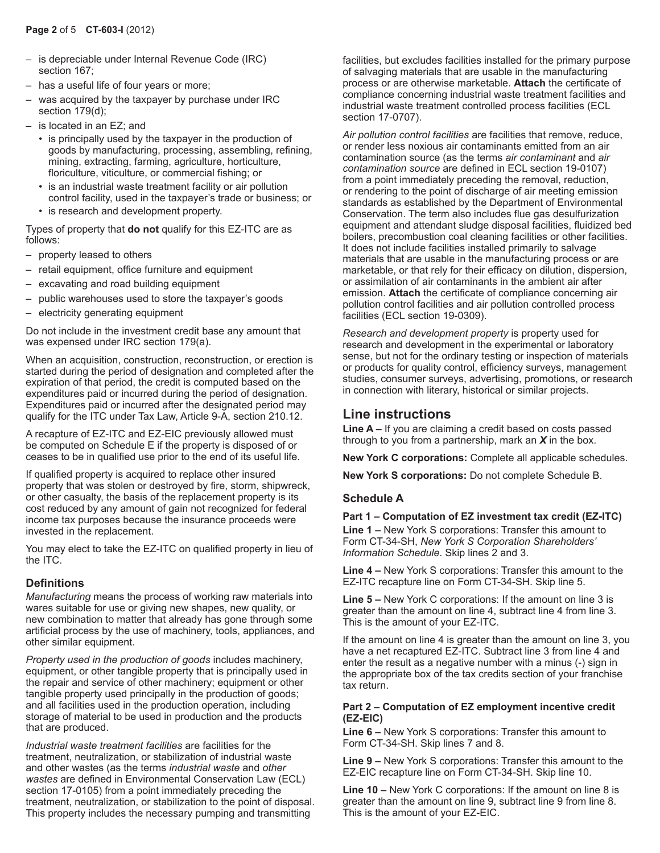- is depreciable under Internal Revenue Code (IRC) section 167;
- has a useful life of four years or more;
- was acquired by the taxpayer by purchase under IRC section 179(d);
- is located in an EZ; and
	- is principally used by the taxpayer in the production of goods by manufacturing, processing, assembling, refining, mining, extracting, farming, agriculture, horticulture, floriculture, viticulture, or commercial fishing; or
	- is an industrial waste treatment facility or air pollution control facility, used in the taxpayer's trade or business; or
	- is research and development property.

Types of property that **do not** qualify for this EZ-ITC are as follows:

- property leased to others
- retail equipment, office furniture and equipment
- excavating and road building equipment
- public warehouses used to store the taxpayer's goods
- electricity generating equipment

Do not include in the investment credit base any amount that was expensed under IRC section 179(a).

When an acquisition, construction, reconstruction, or erection is started during the period of designation and completed after the expiration of that period, the credit is computed based on the expenditures paid or incurred during the period of designation. Expenditures paid or incurred after the designated period may qualify for the ITC under Tax Law, Article 9-A, section 210.12.

A recapture of EZ-ITC and EZ-EIC previously allowed must be computed on Schedule E if the property is disposed of or ceases to be in qualified use prior to the end of its useful life.

If qualified property is acquired to replace other insured property that was stolen or destroyed by fire, storm, shipwreck, or other casualty, the basis of the replacement property is its cost reduced by any amount of gain not recognized for federal income tax purposes because the insurance proceeds were invested in the replacement.

You may elect to take the EZ-ITC on qualified property in lieu of the ITC.

## **Definitions**

*Manufacturing* means the process of working raw materials into wares suitable for use or giving new shapes, new quality, or new combination to matter that already has gone through some artificial process by the use of machinery, tools, appliances, and other similar equipment.

*Property used in the production of goods* includes machinery, equipment, or other tangible property that is principally used in the repair and service of other machinery; equipment or other tangible property used principally in the production of goods; and all facilities used in the production operation, including storage of material to be used in production and the products that are produced.

*Industrial waste treatment facilities* are facilities for the treatment, neutralization, or stabilization of industrial waste and other wastes (as the terms *industrial waste* and *other wastes* are defined in Environmental Conservation Law (ECL) section 17-0105) from a point immediately preceding the treatment, neutralization, or stabilization to the point of disposal. This property includes the necessary pumping and transmitting

facilities, but excludes facilities installed for the primary purpose of salvaging materials that are usable in the manufacturing process or are otherwise marketable. **Attach** the certificate of compliance concerning industrial waste treatment facilities and industrial waste treatment controlled process facilities (ECL section 17-0707).

*Air pollution control facilities* are facilities that remove, reduce, or render less noxious air contaminants emitted from an air contamination source (as the terms *air contaminant* and *air contamination source* are defined in ECL section 19‑0107) from a point immediately preceding the removal, reduction, or rendering to the point of discharge of air meeting emission standards as established by the Department of Environmental Conservation. The term also includes flue gas desulfurization equipment and attendant sludge disposal facilities, fluidized bed boilers, precombustion coal cleaning facilities or other facilities. It does not include facilities installed primarily to salvage materials that are usable in the manufacturing process or are marketable, or that rely for their efficacy on dilution, dispersion, or assimilation of air contaminants in the ambient air after emission. **Attach** the certificate of compliance concerning air pollution control facilities and air pollution controlled process facilities (ECL section 19-0309).

*Research and development property* is property used for research and development in the experimental or laboratory sense, but not for the ordinary testing or inspection of materials or products for quality control, efficiency surveys, management studies, consumer surveys, advertising, promotions, or research in connection with literary, historical or similar projects.

## **Line instructions**

**Line A –** If you are claiming a credit based on costs passed through to you from a partnership, mark an *X* in the box.

**New York C corporations:** Complete all applicable schedules.

**New York S corporations:** Do not complete Schedule B.

#### **Schedule A**

#### **Part 1 – Computation of EZ investment tax credit (EZ-ITC)**

**Line 1 –** New York S corporations: Transfer this amount to Form CT-34-SH, *New York S Corporation Shareholders' Information Schedule*. Skip lines 2 and 3.

**Line 4 –** New York S corporations: Transfer this amount to the EZ-ITC recapture line on Form CT-34-SH. Skip line 5.

**Line 5 –** New York C corporations: If the amount on line 3 is greater than the amount on line 4, subtract line 4 from line 3. This is the amount of your EZ-ITC.

If the amount on line 4 is greater than the amount on line 3, you have a net recaptured EZ-ITC. Subtract line 3 from line 4 and enter the result as a negative number with a minus (-) sign in the appropriate box of the tax credits section of your franchise tax return.

#### **Part 2 – Computation of EZ employment incentive credit (EZ-EIC)**

**Line 6 –** New York S corporations: Transfer this amount to Form CT-34-SH. Skip lines 7 and 8.

**Line 9 –** New York S corporations: Transfer this amount to the EZ-EIC recapture line on Form CT-34-SH. Skip line 10.

**Line 10 –** New York C corporations: If the amount on line 8 is greater than the amount on line 9, subtract line 9 from line 8. This is the amount of your EZ-EIC.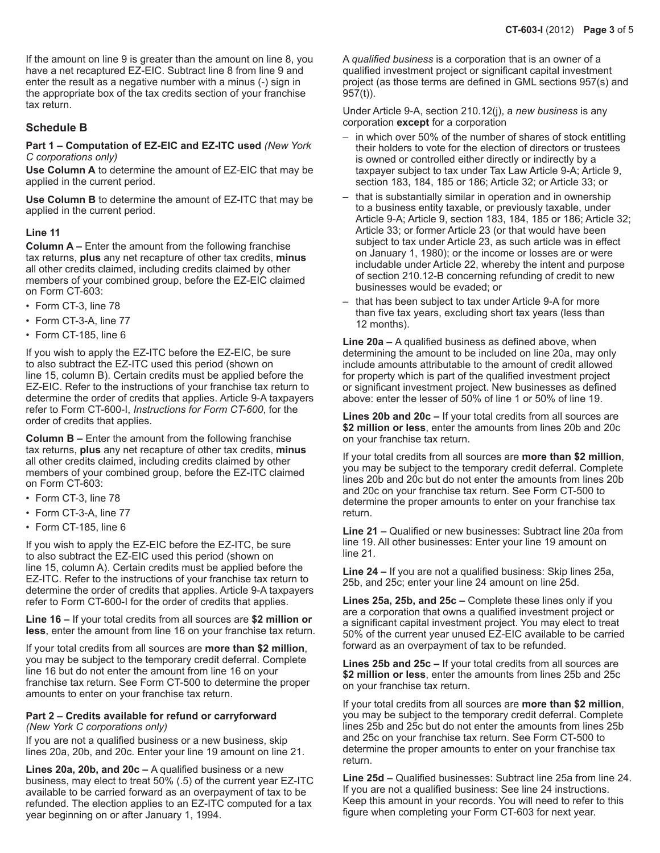If the amount on line 9 is greater than the amount on line 8, you have a net recaptured EZ-EIC. Subtract line 8 from line 9 and enter the result as a negative number with a minus (-) sign in the appropriate box of the tax credits section of your franchise tax return.

## **Schedule B**

#### **Part 1 – Computation of EZ-EIC and EZ-ITC used** *(New York C corporations only)*

**Use Column A** to determine the amount of EZ-EIC that may be applied in the current period.

**Use Column B** to determine the amount of EZ-ITC that may be applied in the current period.

#### **Line 11**

**Column A –** Enter the amount from the following franchise tax returns, **plus** any net recapture of other tax credits, **minus** all other credits claimed, including credits claimed by other members of your combined group, before the EZ-EIC claimed on Form CT-603:

- Form CT-3, line 78
- Form CT-3-A, line 77
- Form CT-185, line 6

If you wish to apply the EZ-ITC before the EZ-EIC, be sure to also subtract the EZ-ITC used this period (shown on line 15, column B). Certain credits must be applied before the EZ-EIC. Refer to the instructions of your franchise tax return to determine the order of credits that applies. Article 9-A taxpayers refer to Form CT-600-I, *Instructions for Form CT-600*, for the order of credits that applies.

**Column B –** Enter the amount from the following franchise tax returns, **plus** any net recapture of other tax credits, **minus** all other credits claimed, including credits claimed by other members of your combined group, before the EZ-ITC claimed on Form CT-603:

- Form CT-3, line 78
- Form CT-3-A, line 77
- Form CT-185, line 6

If you wish to apply the EZ-EIC before the EZ-ITC, be sure to also subtract the EZ-EIC used this period (shown on line 15, column A). Certain credits must be applied before the EZ-ITC. Refer to the instructions of your franchise tax return to determine the order of credits that applies. Article 9-A taxpayers refer to Form CT-600-I for the order of credits that applies.

**Line 16 –** If your total credits from all sources are **\$2 million or less**, enter the amount from line 16 on your franchise tax return.

If your total credits from all sources are **more than \$2 million**, you may be subject to the temporary credit deferral. Complete line 16 but do not enter the amount from line 16 on your franchise tax return. See Form CT-500 to determine the proper amounts to enter on your franchise tax return.

#### **Part 2 – Credits available for refund or carryforward**

*(New York C corporations only)*

If you are not a qualified business or a new business, skip lines 20a, 20b, and 20c. Enter your line 19 amount on line 21.

**Lines 20a, 20b, and 20c –** A qualified business or a new business, may elect to treat 50% (.5) of the current year EZ-ITC available to be carried forward as an overpayment of tax to be refunded. The election applies to an EZ-ITC computed for a tax year beginning on or after January 1, 1994.

A *qualified business* is a corporation that is an owner of a qualified investment project or significant capital investment project (as those terms are defined in GML sections 957(s) and 957(t)).

Under Article 9-A, section 210.12(j), a *new business* is any corporation **except** for a corporation

- in which over 50% of the number of shares of stock entitling their holders to vote for the election of directors or trustees is owned or controlled either directly or indirectly by a taxpayer subject to tax under Tax Law Article 9-A; Article 9, section 183, 184, 185 or 186; Article 32; or Article 33; or
- that is substantially similar in operation and in ownership to a business entity taxable, or previously taxable, under Article 9-A; Article 9, section 183, 184, 185 or 186; Article 32; Article 33; or former Article 23 (or that would have been subject to tax under Article 23, as such article was in effect on January 1, 1980); or the income or losses are or were includable under Article 22, whereby the intent and purpose of section 210.12-B concerning refunding of credit to new businesses would be evaded; or
- that has been subject to tax under Article 9-A for more than five tax years, excluding short tax years (less than 12 months).

**Line 20a –** A qualified business as defined above, when determining the amount to be included on line 20a, may only include amounts attributable to the amount of credit allowed for property which is part of the qualified investment project or significant investment project. New businesses as defined above: enter the lesser of 50% of line 1 or 50% of line 19.

**Lines 20b and 20c –** If your total credits from all sources are **\$2 million or less**, enter the amounts from lines 20b and 20c on your franchise tax return.

If your total credits from all sources are **more than \$2 million**, you may be subject to the temporary credit deferral. Complete lines 20b and 20c but do not enter the amounts from lines 20b and 20c on your franchise tax return. See Form CT-500 to determine the proper amounts to enter on your franchise tax return.

**Line 21 –** Qualified or new businesses: Subtract line 20a from line 19. All other businesses: Enter your line 19 amount on line 21.

**Line 24 –** If you are not a qualified business: Skip lines 25a, 25b, and 25c; enter your line 24 amount on line 25d.

**Lines 25a, 25b, and 25c –** Complete these lines only if you are a corporation that owns a qualified investment project or a significant capital investment project. You may elect to treat 50% of the current year unused EZ-EIC available to be carried forward as an overpayment of tax to be refunded.

**Lines 25b and 25c –** If your total credits from all sources are **\$2 million or less**, enter the amounts from lines 25b and 25c on your franchise tax return.

If your total credits from all sources are **more than \$2 million**, you may be subject to the temporary credit deferral. Complete lines 25b and 25c but do not enter the amounts from lines 25b and 25c on your franchise tax return. See Form CT-500 to determine the proper amounts to enter on your franchise tax return.

**Line 25d –** Qualified businesses: Subtract line 25a from line 24. If you are not a qualified business: See line 24 instructions. Keep this amount in your records. You will need to refer to this figure when completing your Form CT-603 for next year.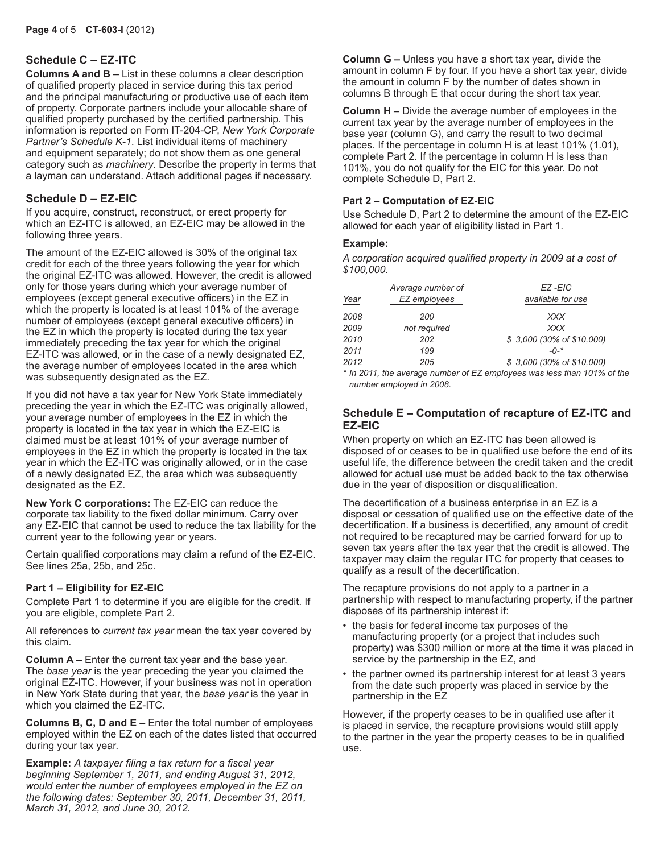## **Schedule C – EZ-ITC**

**Columns A and B –** List in these columns a clear description of qualified property placed in service during this tax period and the principal manufacturing or productive use of each item of property. Corporate partners include your allocable share of qualified property purchased by the certified partnership. This information is reported on Form IT-204-CP, *New York Corporate Partner's Schedule K-1*. List individual items of machinery and equipment separately; do not show them as one general category such as *machinery*. Describe the property in terms that a layman can understand. Attach additional pages if necessary.

## **Schedule D – EZ-EIC**

If you acquire, construct, reconstruct, or erect property for which an EZ-ITC is allowed, an EZ-EIC may be allowed in the following three years.

The amount of the EZ-EIC allowed is 30% of the original tax credit for each of the three years following the year for which the original EZ-ITC was allowed. However, the credit is allowed only for those years during which your average number of employees (except general executive officers) in the EZ in which the property is located is at least 101% of the average number of employees (except general executive officers) in the EZ in which the property is located during the tax year immediately preceding the tax year for which the original EZ-ITC was allowed, or in the case of a newly designated EZ, the average number of employees located in the area which was subsequently designated as the EZ.

If you did not have a tax year for New York State immediately preceding the year in which the EZ-ITC was originally allowed, your average number of employees in the EZ in which the property is located in the tax year in which the EZ-EIC is claimed must be at least 101% of your average number of employees in the EZ in which the property is located in the tax year in which the EZ-ITC was originally allowed, or in the case of a newly designated EZ, the area which was subsequently designated as the EZ.

**New York C corporations:** The EZ-EIC can reduce the corporate tax liability to the fixed dollar minimum. Carry over any EZ-EIC that cannot be used to reduce the tax liability for the current year to the following year or years.

Certain qualified corporations may claim a refund of the EZ-EIC. See lines 25a, 25b, and 25c.

#### **Part 1 – Eligibility for EZ-EIC**

Complete Part 1 to determine if you are eligible for the credit. If you are eligible, complete Part 2.

All references to *current tax year* mean the tax year covered by this claim.

**Column A –** Enter the current tax year and the base year. The *base year* is the year preceding the year you claimed the original EZ-ITC. However, if your business was not in operation in New York State during that year, the *base year* is the year in which you claimed the EZ-ITC.

**Columns B, C, D and E –** Enter the total number of employees employed within the EZ on each of the dates listed that occurred during your tax year.

**Example:** *A taxpayer filing a tax return for a fiscal year beginning September 1, 2011, and ending August 31, 2012, would enter the number of employees employed in the EZ on the following dates: September 30, 2011, December 31, 2011, March 31, 2012, and June 30, 2012.*

**Column G –** Unless you have a short tax year, divide the amount in column F by four. If you have a short tax year, divide the amount in column F by the number of dates shown in columns B through E that occur during the short tax year.

**Column H –** Divide the average number of employees in the current tax year by the average number of employees in the base year (column G), and carry the result to two decimal places. If the percentage in column H is at least 101% (1.01), complete Part 2. If the percentage in column H is less than 101%, you do not qualify for the EIC for this year. Do not complete Schedule D, Part 2.

### **Part 2 – Computation of EZ-EIC**

Use Schedule D, Part 2 to determine the amount of the EZ-EIC allowed for each year of eligibility listed in Part 1.

#### **Example:**

*A corporation acquired qualified property in 2009 at a cost of \$100,000.*

| Year | Average number of<br>EZ employees                                        | EZ-EIC<br>available for use |
|------|--------------------------------------------------------------------------|-----------------------------|
| 2008 | 200                                                                      | XXX                         |
| 2009 | not required                                                             | <b>XXX</b>                  |
| 2010 | 202                                                                      | \$3,000 (30% of \$10,000)   |
| 2011 | 199                                                                      | $-0-$ *                     |
| 2012 | 205                                                                      | \$3,000 (30% of \$10,000)   |
|      | $*$ In 2011, the overage number of $E7$ employees wee loss than 1018/ of |                             |

*\* In 2011, the average number of EZ employees was less than 101% of the number employed in 2008.*

#### **Schedule E – Computation of recapture of EZ-ITC and EZ-EIC**

When property on which an EZ-ITC has been allowed is disposed of or ceases to be in qualified use before the end of its useful life, the difference between the credit taken and the credit allowed for actual use must be added back to the tax otherwise due in the year of disposition or disqualification.

The decertification of a business enterprise in an EZ is a disposal or cessation of qualified use on the effective date of the decertification. If a business is decertified, any amount of credit not required to be recaptured may be carried forward for up to seven tax years after the tax year that the credit is allowed. The taxpayer may claim the regular ITC for property that ceases to qualify as a result of the decertification.

The recapture provisions do not apply to a partner in a partnership with respect to manufacturing property, if the partner disposes of its partnership interest if:

- the basis for federal income tax purposes of the manufacturing property (or a project that includes such property) was \$300 million or more at the time it was placed in service by the partnership in the EZ, and
- the partner owned its partnership interest for at least 3 years from the date such property was placed in service by the partnership in the EZ

However, if the property ceases to be in qualified use after it is placed in service, the recapture provisions would still apply to the partner in the year the property ceases to be in qualified use.